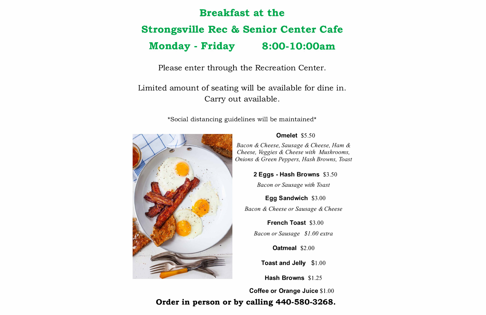## **Breakfast at the Strongsville Rec & Senior Center Cafe Monday - Friday 8:00-10:00am**

Please enter through the Recreation Center.

Limited amount of seating will be available for dine in. Carry out available.

\*Social distancing guidelines will be maintained\*



### **Omelet** \$5 .50

*Bacon & Cheese, Sausage & Cheese, Ham & Cheese, Veggies & Cheese with Mushrooms, Onions & Green Peppers, Hash Browns, Toast* 

**2 Eggs - Hash Browns** \$3 .50

*Bacon or Sausage with Toast* 

**Egg Sandwich** \$3 .00

*Bacon & Cheese or Sausage & Cheese* 

**French Toast** \$3.00 *Bacon or Sausage \$1.00 extra* 

**Oatmeal** \$2.00

**Toast and Jelly** \$1.00

**Hash Browns** \$1.25

**Coffee or Orange Juice** \$1.00

**Order in person or by calling 440-580-3268.**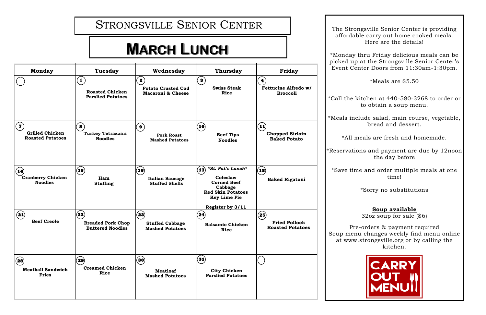# **MARCH LUNCH**

STRONGSVILLE SENIOR CENTER

The Strongsville Senior Center is providing affordable carry out home cooked meals. Here are the details!

\*Monday thru Friday delicious meals can be picked up at the Strongsville Senior Center's



Event Center Doors from 11:30am-1:30pm. **Monday Tuesday Wednesday Thursday Friday**  $\left( \begin{matrix} \textbf{1} \end{matrix} \right)$  $\mathbf{2} \right)$ **3 4**  \*Meals are \$5.50 **Swiss Steak Fettucine Alfredo w/ Potato Crusted Cod Roasted Chicken Macaroni & Cheese Rice Broccoli Parslied Potatoes** \*Call the kitchen at 440-580-3268 to order or to obtain a soup menu. \*Meals include salad, main course, vegetable,  $\left( \overline{\mathbf{2}}\right)$ **9 11**  bread and dessert. **8**   $\Omega$ **Turkey Tetrazzini Grilled Chicken Chopped Sirloin Beef Tips Pork Roast Roasted Potatoes** \*All meals are fresh and homemade. **Noodles Baked Potato Mashed Potatoes Noodles** \*Reservations and payment are due by 12noon the day before **16**   $\mathbf{1}$ *\*St. Pat's Lunch\** **18**   $\mathbf{r}$  $(15)$ \*Save time and order multiple meals at one time! **Cranberry Chicken** Ham **Baked Rigatoni** Italian Sausage Coleslaw Baked Rigatoni **Coleslaw Italian Sausage Corned Beef Noodles Stuffing Stuffed Shells Cabbage** \*Sorry no substitutions **Red Skin Potatoes Key Lime Pie Register by 3/11 Soup available**  $\sqrt{25}$ **23**   $\left( \bullet \right)$  $(22)$  $(24)$ 32oz soup for sale (\$6) **Beef Creole Breaded Pork Chop Fried Pollock Stuffed Cabbage Balsamic Chicken** Pre-orders & payment required **Roasted Potatoes Buttered Noodles Mashed Potatoes Rice** Soup menu changes weekly find menu online at www.strongsville.org or by calling the kitchen.  $\left( \widehat{\mathbf{31}}\right)$ **30 28 29**  CARRY **Creamed Chicken Meatball Sandwich City Chicken Meatloaf Rice Fries Mashed Potatoes Parslied Potatoes**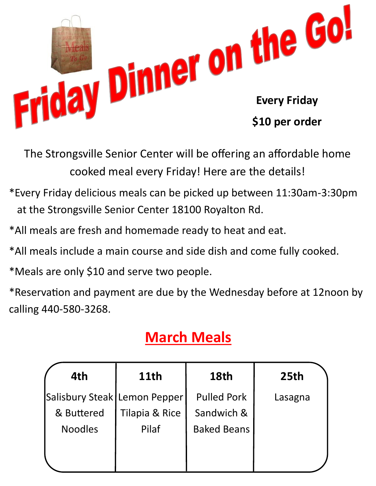

The Strongsville Senior Center will be offering an affordable home cooked meal every Friday! Here are the details!

- \*Every Friday delicious meals can be picked up between 11:30am-3:30pm at the Strongsville Senior Center 18100 Royalton Rd.
- \*All meals are fresh and homemade ready to heat and eat.
- \*All meals include a main course and side dish and come fully cooked.
- \*Meals are only \$10 and serve two people.

\*Reservation and payment are due by the Wednesday before at 12noon by calling 440-580-3268.

## **March Meals**

| 4th                          | <b>11th</b><br><b>18th</b> |                    | 25th    |
|------------------------------|----------------------------|--------------------|---------|
| Salisbury Steak Lemon Pepper |                            | <b>Pulled Pork</b> | Lasagna |
| & Buttered                   | Tilapia & Rice             | Sandwich &         |         |
| <b>Noodles</b>               | Pilaf                      | <b>Baked Beans</b> |         |
|                              |                            |                    |         |
|                              |                            |                    |         |